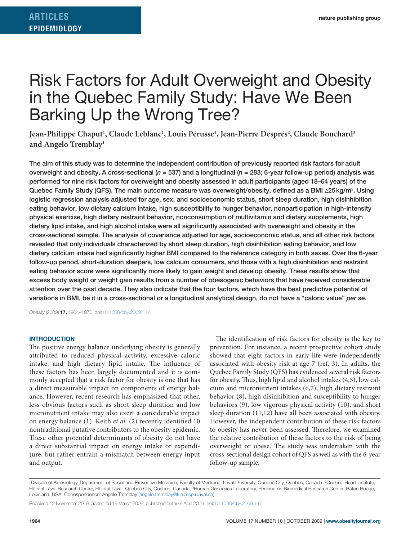# Risk Factors for Adult Overweight and Obesity in the Quebec Family Study: Have We Been Barking Up the Wrong Tree?

**Jean-Philippe Chaput1 , Claude Leblanc1 , Louis Pérusse1 , Jean-Pierre Després2 , Claude Bouchard3 and Angelo Tremblay1**

The aim of this study was to determine the independent contribution of previously reported risk factors for adult overweight and obesity. A cross-sectional (*n* = 537) and a longitudinal (*n* = 283; 6-year follow-up period) analysis was performed for nine risk factors for overweight and obesity assessed in adult participants (aged 18–64 years) of the Quebec Family Study (QFS). The main outcome measure was overweight/obesity, defined as a BMI ≥25 kg/m<sup>2</sup>. Using logistic regression analysis adjusted for age, sex, and socioeconomic status, short sleep duration, high disinhibition eating behavior, low dietary calcium intake, high susceptibility to hunger behavior, nonparticipation in high-intensity physical exercise, high dietary restraint behavior, nonconsumption of multivitamin and dietary supplements, high dietary lipid intake, and high alcohol intake were all significantly associated with overweight and obesity in the cross-sectional sample. The analysis of covariance adjusted for age, socioeconomic status, and all other risk factors revealed that only individuals characterized by short sleep duration, high disinhibition eating behavior, and low dietary calcium intake had significantly higher BMI compared to the reference category in both sexes. Over the 6-year follow-up period, short-duration sleepers, low calcium consumers, and those with a high disinhibition and restraint eating behavior score were significantly more likely to gain weight and develop obesity. These results show that excess body weight or weight gain results from a number of obesogenic behaviors that have received considerable attention over the past decade. They also indicate that the four factors, which have the best predictive potential of variations in BMI, be it in a cross-sectional or a longitudinal analytical design, do not have a "caloric value" *per se*.

*Obesity* (2009) **17,** 1964–1970. d[oi:10.1038/oby.2009.116](http://www.nature.com/doifinder/10.1038/oby.2009.116)

### **Introduction**

The positive energy balance underlying obesity is generally attributed to reduced physical activity, excessive caloric intake, and high dietary lipid intake. The influence of these factors has been largely documented and it is commonly accepted that a risk factor for obesity is one that has a direct measurable impact on components of energy balance. However, recent research has emphasized that other, less obvious factors such as short sleep duration and low micronutrient intake may also exert a considerable impact on energy balance (1). Keith *et al.* (2) recently identified 10 nontraditional putative contributors to the obesity epidemic. These other potential determinants of obesity do not have a direct substantial impact on energy intake or expenditure, but rather entrain a mismatch between energy input and output.

The identification of risk factors for obesity is the key to prevention. For instance, a recent prospective cohort study showed that eight factors in early life were independently associated with obesity risk at age 7 (ref. 3). In adults, the Quebec Family Study (QFS) has evidenced several risk factors for obesity. Thus, high lipid and alcohol intakes (4,5), low calcium and micronutrient intakes (6,7), high dietary restraint behavior (8), high disinhibition and susceptibility to hunger behaviors (9), low vigorous physical activity (10), and short sleep duration (11,12) have all been associated with obesity. However, the independent contribution of these risk factors to obesity has never been assessed. Therefore, we examined the relative contribution of these factors to the risk of being overweight or obese. The study was undertaken with the cross-sectional design cohort of QFS as well as with the 6-year follow-up sample.

<sup>&</sup>lt;sup>1</sup>Division of Kinesiology, Department of Social and Preventive Medicine, Faculty of Medicine, Laval University, Quebec City, Quebec, Canada; <sup>2</sup>Quebec Heart Institute, Hôpital Laval Research Center, Hôpital Laval, Quebec City, Quebec, Canada; <sup>3</sup>Human Genomics Laboratory, Pennington Biomedical Research Center, Baton Rouge, Louisiana, USA. Correspondence: Angelo Tremblay [\(angelo.tremblay@kin.msp.ulaval.ca\)](mailto:angelo.tremblay@kin.msp.ulaval.ca)

Received 12 November 2008; accepted 19 March 2009; published online 9 April 2009. doi[:10.1038/oby.2009.116](http://www.nature.com/doifinder/10.1038/oby.2009.116)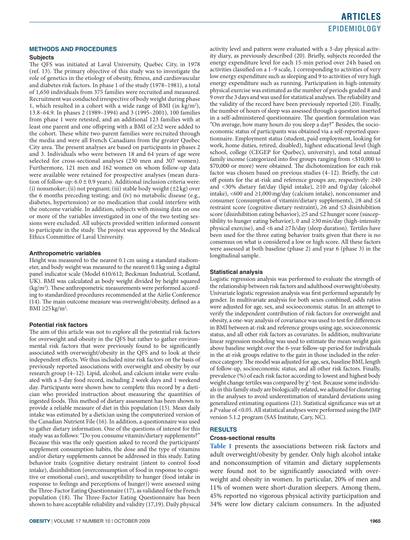### **Methods And Procedures**

### **Subjects**

The QFS was initiated at Laval University, Quebec City, in 1978 (ref. 13). The primary objective of this study was to investigate the role of genetics in the etiology of obesity, fitness, and cardiovascular and diabetes risk factors. In phase 1 of the study (1978–1981), a total of 1,650 individuals from 375 families were recruited and measured. Recruitment was conducted irrespective of body weight during phase 1, which resulted in a cohort with a wide range of BMI (in  $\text{kg/m}^2$ ), 13.8–64.9. In phases 2 (1989–1994) and 3 (1995–2001), 100 families from phase 1 were retested, and an additional 123 families with at least one parent and one offspring with a BMI of ≥32 were added to the cohort. These white two-parent families were recruited through the media and were all French Canadians from the greater Quebec City area. The present analyses are based on participants in phases 2 and 3. Individuals who were between 18 and 64 years of age were selected for cross-sectional analyses (230 men and 307 women). Furthermore, 121 men and 162 women on whom follow-up data were available were retained for prospective analyses (mean duration of follow-up:  $6.0 \pm 0.9$  years). Additional inclusion criteria were: (i) nonsmoker; (ii) not pregnant; (iii) stable body weight  $(\pm 2 \text{ kg})$  over the 6 months preceding testing; and (iv) no metabolic disease (e.g., diabetes, hypertension) or no medication that could interfere with the outcome variable. In addition, subjects with missing data on one or more of the variables investigated in one of the two testing sessions were excluded. All subjects provided written informed consent to participate in the study. The project was approved by the Medical Ethics Committee of Laval University.

### **Anthropometric variables**

Height was measured to the nearest 0.1cm using a standard stadiometer, and body weight was measured to the nearest 0.1kg using a digital panel indicator scale (Model 610/612; Beckman Industrial, Scotland, UK). BMI was calculated as body weight divided by height squared (kg/m<sup>2</sup>). These anthropometric measurements were performed according to standardized procedures recommended at the Airlie Conference (14). The main outcome measure was overweight/obesity, defined as a BMI ≥25 $kg/m<sup>2</sup>$ .

### **Potential risk factors**

The aim of this article was not to explore all the potential risk factors for overweight and obesity in the QFS but rather to gather environmental risk factors that were previously found to be significantly associated with overweight/obesity in the QFS and to look at their independent effects. We thus included nine risk factors on the basis of previously reported associations with overweight and obesity by our research group (4–12). Lipid, alcohol, and calcium intake were evaluated with a 3-day food record, including 2 week days and 1 weekend day. Participants were shown how to complete this record by a dietician who provided instruction about measuring the quantities of ingested foods. This method of dietary assessment has been shown to provide a reliable measure of diet in this population (15). Mean daily intake was estimated by a dietician using the computerized version of the Canadian Nutrient File (16). In addition, a questionnaire was used to gather dietary information. One of the questions of interest for this study was as follows: "Do you consume vitamin/dietary supplements?" Because this was the only question asked to record the participants' supplement consumption habits, the dose and the type of vitamins and/or dietary supplements cannot be addressed in this study. Eating behavior traits (cognitive dietary restraint (intent to control food intake), disinhibition (overconsumption of food in response to cognitive or emotional cues), and susceptibility to hunger (food intake in response to feelings and perceptions of hunger)) were assessed using the Three-Factor Eating Questionnaire (17), as validated for the French population (18). The Three-Factor Eating Questionnaire has been shown to have acceptable reliability and validity (17,19). Daily physical activity level and pattern were evaluated with a 3-day physical activity diary, as previously described (20). Briefly, subjects recorded the energy expenditure level for each 15-min period over 24h based on activities classified on a 1–9 scale, 1 corresponding to activities of very low energy expenditure such as sleeping and 9 to activities of very high energy expenditure such as running. Participation in high-intensity physical exercise was estimated as the number of periods graded 8 and 9 over the 3 days and was used for statistical analyses. The reliability and the validity of the record have been previously reported (20). Finally, the number of hours of sleep was assessed through a question inserted in a self-administered questionnaire. The question formulation was: "On average, how many hours do you sleep a day?" Besides, the socioeconomic status of participants was obtained via a self-reported questionnaire. Employment status (student, paid employment, looking for work, home duties, retired, disabled), highest educational level (high school, college (CEGEP for Quebec), university), and total annual family income (categorized into five groups ranging from <\$10,000 to \$70,000 or more) were obtained. The dichotomization for each risk factor was chosen based on previous studies (4–12). Briefly, the cutoff points for the at-risk and reference groups are, respectively: ≥40 and <30% dietary fat/day (lipid intake), ≥10 and 0g/day (alcohol intake), <600 and ≥1,000mg/day (calcium intake), nonconsumer and consumer (consumption of vitamin/dietary supplements), ≥8 and ≤4 restraint score (cognitive dietary restraint), ≥6 and ≤3 disinhibition score (disinhibition eating behavior), ≥5 and ≤2 hunger score (susceptibility to hunger eating behavior), 0 and ≥30min/day (high-intensity physical exercise), and <6 and ≥7h/day (sleep duration). Tertiles have been used for the three eating behavior traits given that there is no consensus on what is considered a low or high score. All these factors were assessed at both baseline (phase 2) and year 6 (phase 3) in the longitudinal sample.

### **Statistical analysis**

Logistic regression analysis was performed to evaluate the strength of the relationship between risk factors and adulthood overweight/obesity. Univariate logistic regression analysis was first performed separately by gender. In multivariate analysis for both sexes combined, odds ratios were adjusted for age, sex, and socioeconomic status. In an attempt to verify the independent contribution of risk factors for overweight and obesity, a one-way analysis of covariance was used to test for differences in BMI between at-risk and reference groups using age, socioeconomic status, and all other risk factors as covariates. In addition, multivariate linear regression modeling was used to estimate the mean weight gain above baseline weight over the 6-year follow-up period for individuals in the at-risk groups relative to the gain in those included in the reference category. The model was adjusted for age, sex, baseline BMI, length of follow-up, socioeconomic status, and all other risk factors. Finally, prevalence (%) of each risk factor according to lowest and highest body weight change tertiles was compared by  $\chi^2$ -test. Because some individuals in this family study are biologically related, we adjusted for clustering in the analyses to avoid underestimation of standard deviations using generalized estimating equations (21). Statistical significance was set at a *P* value of <0.05. All statistical analyses were performed using the JMP version 5.1.2 program (SAS Institute, Cary, NC).

### **Results**

### **Cross-sectional results**

**[Table](#page-2-0) 1** presents the associations between risk factors and adult overweight/obesity by gender. Only high alcohol intake and nonconsumption of vitamin and dietary supplements were found not to be significantly associated with overweight and obesity in women. In particular, 20% of men and 11% of women were short-duration sleepers. Among them, 45% reported no vigorous physical activity participation and 34% were low dietary calcium consumers. In the adjusted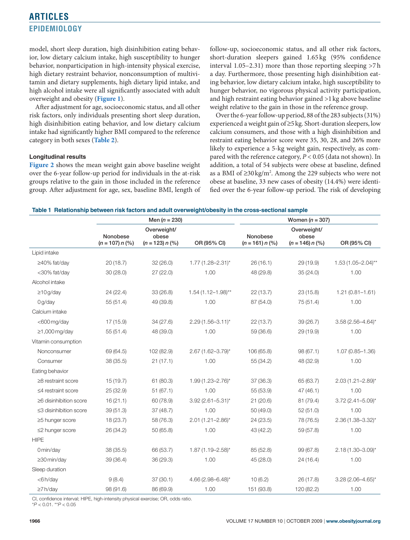<span id="page-2-0"></span>model, short sleep duration, high disinhibition eating behavior, low dietary calcium intake, high susceptibility to hunger behavior, nonparticipation in high-intensity physical exercise, high dietary restraint behavior, nonconsumption of multivitamin and dietary supplements, high dietary lipid intake, and high alcohol intake were all significantly associated with adult overweight and obesity (**[Figure](#page-3-0) 1**).

After adjustment for age, socioeconomic status, and all other risk factors, only individuals presenting short sleep duration, high disinhibition eating behavior, and low dietary calcium intake had significantly higher BMI compared to the reference category in both sexes (**[Table](#page-3-0) 2**).

### **Longitudinal results**

**[Figure](#page-3-0) 2** shows the mean weight gain above baseline weight over the 6-year follow-up period for individuals in the at-risk groups relative to the gain in those included in the reference group. After adjustment for age, sex, baseline BMI, length of follow-up, socioeconomic status, and all other risk factors, short-duration sleepers gained 1.65 kg (95% confidence interval 1.05–2.31) more than those reporting sleeping >7h a day. Furthermore, those presenting high disinhibition eating behavior, low dietary calcium intake, high susceptibility to hunger behavior, no vigorous physical activity participation, and high restraint eating behavior gained >1kg above baseline weight relative to the gain in those in the reference group.

Over the 6-year follow-up period, 88 of the 283 subjects (31%) experienced a weight gain of ≥5kg. Short-duration sleepers, low calcium consumers, and those with a high disinhibition and restraint eating behavior score were 35, 30, 28, and 26% more likely to experience a 5-kg weight gain, respectively, as compared with the reference category, *P* < 0.05 (data not shown). In addition, a total of 54 subjects were obese at baseline, defined as a BMI of ≥30kg/m2 . Among the 229 subjects who were not obese at baseline, 33 new cases of obesity (14.4%) were identified over the 6-year follow-up period. The risk of developing

|                          | Men $(n = 230)$               |                                           |                         | Women ( $n = 307$ )           |                                           |                         |
|--------------------------|-------------------------------|-------------------------------------------|-------------------------|-------------------------------|-------------------------------------------|-------------------------|
|                          | Nonobese<br>$(n = 107) n$ (%) | Overweight/<br>obese<br>$(n = 123) n$ (%) | OR (95% CI)             | Nonobese<br>$(n = 161) n$ (%) | Overweight/<br>obese<br>$(n = 146) n$ (%) | OR (95% CI)             |
| Lipid intake             |                               |                                           |                         |                               |                                           |                         |
| ≥40% fat/day             | 20(18.7)                      | 32 (26.0)                                 | $1.77(1.28 - 2.31)^{*}$ | 26(16.1)                      | 29 (19.9)                                 | $1.53(1.05 - 2.04)$ **  |
| <30% fat/day             | 30(28.0)                      | 27 (22.0)                                 | 1.00                    | 48 (29.8)                     | 35 (24.0)                                 | 1.00                    |
| Alcohol intake           |                               |                                           |                         |                               |                                           |                         |
| $\geq$ 10g/day           | 24 (22.4)                     | 33 (26.8)                                 | $1.54(1.12 - 1.98)$ **  | 22(13.7)                      | 23(15.8)                                  | $1.21(0.81 - 1.61)$     |
| 0q/day                   | 55(51.4)                      | 49 (39.8)                                 | 1.00                    | 87 (54.0)                     | 75 (51.4)                                 | 1.00                    |
| Calcium intake           |                               |                                           |                         |                               |                                           |                         |
| $<$ 600 mg/day           | 17 (15.9)                     | 34 (27.6)                                 | $2.29(1.56 - 3.11)^{*}$ | 22(13.7)                      | 39 (26.7)                                 | $3.58(2.56 - 4.64)^{*}$ |
| $\geq$ 1,000 mg/day      | 55(51.4)                      | 48 (39.0)                                 | 1.00                    | 59 (36.6)                     | 29 (19.9)                                 | 1.00                    |
| Vitamin consumption      |                               |                                           |                         |                               |                                           |                         |
| Nonconsumer              | 69 (64.5)                     | 102 (82.9)                                | 2.67 (1.62-3.79)*       | 106 (65.8)                    | 98 (67.1)                                 | $1.07(0.85 - 1.36)$     |
| Consumer                 | 38 (35.5)                     | 21(17.1)                                  | 1.00                    | 55 (34.2)                     | 48 (32.9)                                 | 1.00                    |
| Eating behavior          |                               |                                           |                         |                               |                                           |                         |
| $\geq$ 8 restraint score | 15(19.7)                      | 61 (80.3)                                 | $1.99(1.23 - 2.76)^{*}$ | 37 (36.3)                     | 65 (63.7)                                 | $2.03(1.21 - 2.89)^{*}$ |
| $\leq$ 4 restraint score | 25 (32.9)                     | 51(67.1)                                  | 1.00                    | 55 (53.9)                     | 47 (46.1)                                 | 1.00                    |
| ≥6 disinhibition score   | 16(21.1)                      | 60 (78.9)                                 | $3.92(2.61 - 5.31)^{*}$ | 21(20.6)                      | 81 (79.4)                                 | $3.72(2.41 - 5.09)^{*}$ |
| ≤3 disinhibition score   | 39 (51.3)                     | 37(48.7)                                  | 1.00                    | 50 (49.0)                     | 52(51.0)                                  | 1.00                    |
| ≥5 hunger score          | 18 (23.7)                     | 58 (76.3)                                 | $2.01(1.21 - 2.86)^{*}$ | 24(23.5)                      | 78 (76.5)                                 | $2.36(1.38 - 3.32)^{*}$ |
| $\leq$ 2 hunger score    | 26 (34.2)                     | 50(65.8)                                  | 1.00                    | 43 (42.2)                     | 59 (57.8)                                 | 1.00                    |
| <b>HIPE</b>              |                               |                                           |                         |                               |                                           |                         |
| 0 min/day                | 38 (35.5)                     | 66 (53.7)                                 | $1.87(1.19 - 2.58)^{*}$ | 85 (52.8)                     | 99 (67.8)                                 | $2.18(1.30 - 3.09)^{*}$ |
| $\geq$ 30 min/day        | 39 (36.4)                     | 36 (29.3)                                 | 1.00                    | 45 (28.0)                     | 24 (16.4)                                 | 1.00                    |
| Sleep duration           |                               |                                           |                         |                               |                                           |                         |
| $<$ 6 $h$ /day           | 9(8.4)                        | 37(30.1)                                  | 4.66 (2.98-6.48)*       | 10(6.2)                       | 26 (17.8)                                 | $3.28(2.06 - 4.65)^{*}$ |
| $\geq$ 7 h/day           | 98 (91.6)                     | 86 (69.9)                                 | 1.00                    | 151 (93.8)                    | 120 (82.2)                                | 1.00                    |

CI, confidence interval; HIPE, high-intensity physical exercise; OR, odds ratio.

\**P* < 0.01. \*\**P* < 0.05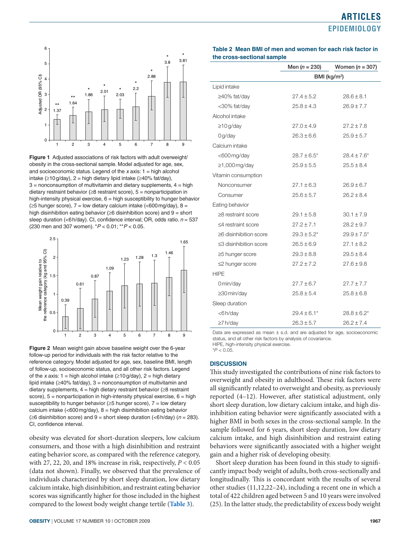<span id="page-3-0"></span>

**Figure 1** Adjusted associations of risk factors with adult overweight/ obesity in the cross-sectional sample. Model adjusted for age, sex, and socioeconomic status. Legend of the *x* axis: 1 = high alcohol intake (≥10g/day), 2 = high dietary lipid intake (≥40% fat/day),  $3 =$  nonconsumption of multivitamin and dietary supplements,  $4 =$  high dietary restraint behavior ( $\geq 8$  restraint score), 5 = nonparticipation in high-intensity physical exercise,  $6 =$  high susceptibility to hunger behavior (≥5 hunger score), 7 = low dietary calcium intake (<600mg/day), 8 = high disinhibition eating behavior ( $\geq 6$  disinhibition score) and  $9 =$  short sleep duration (<6h/day). CI, confidence interval; OR, odds ratio. *n* = 537 (230 men and 307 women). \**P* < 0.01; \*\**P* < 0.05.



**Figure 2** Mean weight gain above baseline weight over the 6-year follow-up period for individuals with the risk factor relative to the reference category. Model adjusted for age, sex, baseline BMI, length of follow-up, socioeconomic status, and all other risk factors. Legend of the *x* axis:  $1 =$  high alcohol intake ( $\geq 10$  g/day),  $2 =$  high dietary lipid intake  $(≥40%$  fat/day), 3 = nonconsumption of multivitamin and dietary supplements,  $4 =$  high dietary restraint behavior ( $\geq 8$  restraint score),  $5 =$  nonparticipation in high-intensity physical exercise,  $6 =$  high susceptibility to hunger behavior ( $\geq$ 5 hunger score), 7 = low dietary calcium intake  $\left($  <600 mg/day), 8 = high disinhibition eating behavior (≥6 disinhibition score) and 9 = short sleep duration (<6h/day) (*n* = 283). CI, confidence interval.

obesity was elevated for short-duration sleepers, low calcium consumers, and those with a high disinhibition and restraint eating behavior score, as compared with the reference category, with 27, 22, 20, and 18% increase in risk, respectively, *P* < 0.05 (data not shown). Finally, we observed that the prevalence of individuals characterized by short sleep duration, low dietary calcium intake, high disinhibition, and restraint eating behavior scores was significantly higher for those included in the highest compared to the lowest body weight change tertile (**[Table](#page-4-0) 3**).

|  | Table 2 Mean BMI of men and women for each risk factor in |  |  |
|--|-----------------------------------------------------------|--|--|
|  | the cross-sectional sample                                |  |  |

|                              | Men $(n = 230)$          | Women $(n = 307)$ |  |
|------------------------------|--------------------------|-------------------|--|
|                              | BMI (kg/m <sup>2</sup> ) |                   |  |
| Lipid intake                 |                          |                   |  |
| $\geq$ 40% fat/day           | $27.4 \pm 5.2$           | $28.6 \pm 8.1$    |  |
| <30% fat/day                 | $25.8 \pm 4.3$           | $26.9 \pm 7.7$    |  |
| Alcohol intake               |                          |                   |  |
| $\geq$ 10g/day               | $27.0 \pm 4.9$           | $27.2 \pm 7.8$    |  |
| 0 g/day                      | $26.3 \pm 6.6$           | $25.9 \pm 5.7$    |  |
| Calcium intake               |                          |                   |  |
| $<$ 600 mg/day               | $28.7 \pm 6.5^*$         | $28.4 \pm 7.6^*$  |  |
| $\geq$ 1,000 mg/day          | $25.9 \pm 5.5$           | $25.5 \pm 8.4$    |  |
| Vitamin consumption          |                          |                   |  |
| Nonconsumer                  | $27.1 \pm 6.3$           | $26.9 \pm 6.7$    |  |
| Consumer                     | $25.6 \pm 5.7$           | $26.2 \pm 8.4$    |  |
| Eating behavior              |                          |                   |  |
| $\geq$ 8 restraint score     | $29.1 \pm 5.8$           | $30.1 \pm 7.9$    |  |
| $\leq$ 4 restraint score     | $27.2 \pm 7.1$           | $28.2 \pm 9.7$    |  |
| $\geq$ 6 disinhibition score | $29.3 \pm 5.2^*$         | $29.9 \pm 7.5^*$  |  |
| ≤3 disinhibition score       | $26.5 \pm 6.9$           | $27.1 \pm 8.2$    |  |
| $\geq$ 5 hunger score        | $29.3 \pm 8.8$           | $29.5 \pm 8.4$    |  |
| $\leq$ 2 hunger score        | $27.2 \pm 7.2$           | $27.6 \pm 9.8$    |  |
| <b>HIPE</b>                  |                          |                   |  |
| 0 min/day                    | $27.7 + 6.7$             | $27.7 + 7.7$      |  |
| $\geq$ 30 min/day            | $25.8 \pm 5.4$           | $25.8 \pm 6.8$    |  |
| Sleep duration               |                          |                   |  |
| <6h/day                      | $29.4 \pm 6.1*$          | $28.8 \pm 6.2^*$  |  |
| $\geq$ 7 h/day               | $26.3 \pm 5.7$           | $26.2 \pm 7.4$    |  |

Data are expressed as mean  $\pm$  s.d. and are adjusted for age, socioeconomic status, and all other risk factors by analysis of covariance.

HIPE, high-intensity physical exercise. \**P* < 0.05.

### **Discussion**

This study investigated the contributions of nine risk factors to overweight and obesity in adulthood. These risk factors were all significantly related to overweight and obesity, as previously reported (4–12). However, after statistical adjustment, only short sleep duration, low dietary calcium intake, and high disinhibition eating behavior were significantly associated with a higher BMI in both sexes in the cross-sectional sample. In the sample followed for 6 years, short sleep duration, low dietary calcium intake, and high disinhibition and restraint eating behaviors were significantly associated with a higher weight gain and a higher risk of developing obesity.

Short sleep duration has been found in this study to significantly impact body weight of adults, both cross-sectionally and longitudinally. This is concordant with the results of several other studies (11,12,22–24), including a recent one in which a total of 422 children aged between 5 and 10 years were involved (25). In the latter study, the predictability of excess body weight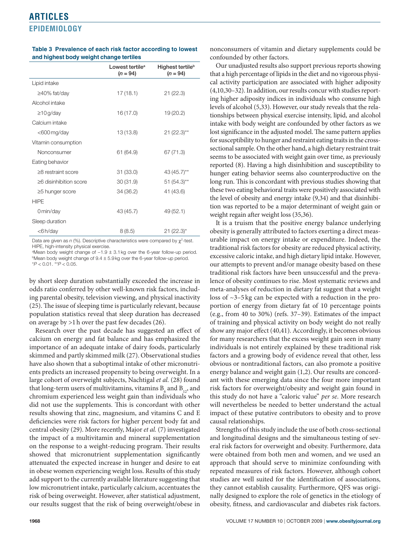|                              | Lowest tertile <sup>a</sup><br>$(n = 94)$ | Highest tertile <sup>b</sup><br>$(n = 94)$ |
|------------------------------|-------------------------------------------|--------------------------------------------|
| Lipid intake                 |                                           |                                            |
| ≥40% fat/day                 | 17(18.1)                                  | 21(22.3)                                   |
| Alcohol intake               |                                           |                                            |
| $\geq$ 10 g/day              | 16 (17.0)                                 | 19 (20.2)                                  |
| Calcium intake               |                                           |                                            |
| <600 mg/day                  | 13(13.8)                                  | $21 (22.3)$ **                             |
| Vitamin consumption          |                                           |                                            |
| Nonconsumer                  | 61 (64.9)                                 | 67 (71.3)                                  |
| Eating behavior              |                                           |                                            |
| $\geq$ 8 restraint score     | 31 (33.0)                                 | 43 (45.7)**                                |
| $\geq$ 6 disinhibition score | 30(31.9)                                  | $51 (54.3)$ **                             |
| $\geq$ 5 hunger score        | 34 (36.2)                                 | 41 (43.6)                                  |
| <b>HIPE</b>                  |                                           |                                            |
| 0 min/day                    | 43 (45.7)                                 | 49 (52.1)                                  |
| Sleep duration               |                                           |                                            |
| <6h/day                      | 8(8.5)                                    | $21 (22.3)^*$                              |

<span id="page-4-0"></span>**Table 3 Prevalence of each risk factor according to lowest and highest body weight change tertiles**

Data are given as  $n$  (%). Descriptive characteristics were compared by  $\chi^2$ -test. HIPE, high-intensity physical exercise.

<sup>a</sup>Mean body weight change of  $-1.9 \pm 3.1$  kg over the 6-year follow-up period. <sup>b</sup>Mean body weight change of 9.4 ± 5.9kg over the 6-year follow-up period. \**P* < 0.01. \*\**P* < 0.05.

by short sleep duration substantially exceeded the increase in odds ratio conferred by other well-known risk factors, including parental obesity, television viewing, and physical inactivity (25). The issue of sleeping time is particularly relevant, because population statistics reveal that sleep duration has decreased on average by >1h over the past few decades (26).

Research over the past decade has suggested an effect of calcium on energy and fat balance and has emphasized the importance of an adequate intake of dairy foods, particularly skimmed and partly skimmed milk (27). Observational studies have also shown that a suboptimal intake of other micronutrients predicts an increased propensity to being overweight. In a large cohort of overweight subjects, Nachtigal *et al.* (28) found that long-term users of multivitamins, vitamins  $\text{B}_6$  and  $\text{B}_{12}$ , and chromium experienced less weight gain than individuals who did not use the supplements. This is concordant with other results showing that zinc, magnesium, and vitamins C and E deficiencies were risk factors for higher percent body fat and central obesity (29). More recently, Major *et al.* (7) investigated the impact of a multivitamin and mineral supplementation on the response to a weight-reducing program. Their results showed that micronutrient supplementation significantly attenuated the expected increase in hunger and desire to eat in obese women experiencing weight loss. Results of this study add support to the currently available literature suggesting that low micronutrient intake, particularly calcium, accentuates the risk of being overweight. However, after statistical adjustment, our results suggest that the risk of being overweight/obese in

nonconsumers of vitamin and dietary supplements could be confounded by other factors.

Our unadjusted results also support previous reports showing that a high percentage of lipids in the diet and no vigorous physical activity participation are associated with higher adiposity (4,10,30–32). In addition, our results concur with studies reporting higher adiposity indices in individuals who consume high levels of alcohol (5,33). However, our study reveals that the relationships between physical exercise intensity, lipid, and alcohol intake with body weight are confounded by other factors as we lost significance in the adjusted model. The same pattern applies for susceptibility to hunger and restraint eating traits in the crosssectional sample. On the other hand, a high dietary restraint trait seems to be associated with weight gain over time, as previously reported (8). Having a high disinhibition and susceptibility to hunger eating behavior seems also counterproductive on the long run. This is concordant with previous studies showing that these two eating behavioral traits were positively associated with the level of obesity and energy intake (9,34) and that disinhibition was reported to be a major determinant of weight gain or weight regain after weight loss (35,36).

It is a truism that the positive energy balance underlying obesity is generally attributed to factors exerting a direct measurable impact on energy intake or expenditure. Indeed, the traditional risk factors for obesity are reduced physical activity, excessive caloric intake, and high dietary lipid intake. However, our attempts to prevent and/or manage obesity based on these traditional risk factors have been unsuccessful and the prevalence of obesity continues to rise. Most systematic reviews and meta-analyses of reduction in dietary fat suggest that a weight loss of ~3–5 kg can be expected with a reduction in the proportion of energy from dietary fat of 10 percentage points (e.g., from 40 to 30%) (refs. 37–39). Estimates of the impact of training and physical activity on body weight do not really show any major effect (40,41). Accordingly, it becomes obvious for many researchers that the excess weight gain seen in many individuals is not entirely explained by these traditional risk factors and a growing body of evidence reveal that other, less obvious or nontraditional factors, can also promote a positive energy balance and weight gain (1,2). Our results are concordant with these emerging data since the four more important risk factors for overweight/obesity and weight gain found in this study do not have a "caloric value" *per se*. More research will nevertheless be needed to better understand the actual impact of these putative contributors to obesity and to prove causal relationships.

Strengths of this study include the use of both cross-sectional and longitudinal designs and the simultaneous testing of several risk factors for overweight and obesity. Furthermore, data were obtained from both men and women, and we used an approach that should serve to minimize confounding with repeated measures of risk factors. However, although cohort studies are well suited for the identification of associations, they cannot establish causality. Furthermore, QFS was originally designed to explore the role of genetics in the etiology of obesity, fitness, and cardiovascular and diabetes risk factors.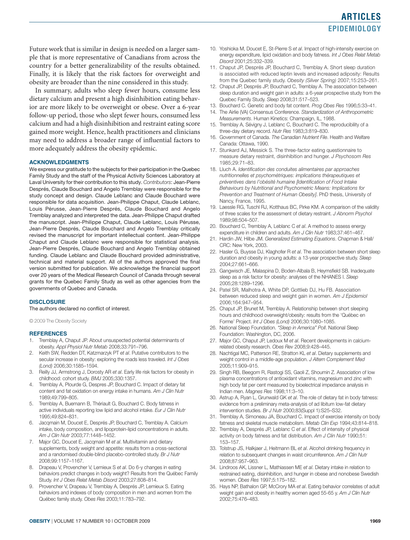Future work that is similar in design is needed on a larger sample that is more representative of Canadians from across the country for a better generalizability of the results obtained. Finally, it is likely that the risk factors for overweight and obesity are broader than the nine considered in this study.

In summary, adults who sleep fewer hours, consume less dietary calcium and present a high disinhibition eating behavior are more likely to be overweight or obese. Over a 6-year follow-up period, those who slept fewer hours, consumed less calcium and had a high disinhibition and restraint eating score gained more weight. Hence, health practitioners and clinicians may need to address a broader range of influential factors to more adequately address the obesity epidemic.

### **Acknowledgments**

We express our gratitude to the subjects for their participation in the Quebec Family Study and the staff of the Physical Activity Sciences Laboratory at Laval University for their contribution to this study. *Contributors*: Jean-Pierre Després, Claude Bouchard and Angelo Tremblay were responsible for the study concept and design. Claude Leblanc and Claude Bouchard were responsible for data acquisition. Jean-Philippe Chaput, Claude Leblanc, Louis Pérusse, Jean-Pierre Després, Claude Bouchard and Angelo Tremblay analyzed and interpreted the data. Jean-Philippe Chaput drafted the manuscript. Jean-Philippe Chaput, Claude Leblanc, Louis Pérusse, Jean-Pierre Després, Claude Bouchard and Angelo Tremblay critically revised the manuscript for important intellectual content. Jean-Philippe Chaput and Claude Leblanc were responsible for statistical analysis. Jean-Pierre Després, Claude Bouchard and Angelo Tremblay obtained funding. Claude Leblanc and Claude Bouchard provided administrative, technical and material support. All of the authors approved the final version submitted for publication. We acknowledge the financial support over 20 years of the Medical Research Council of Canada through several grants for the Quebec Family Study as well as other agencies from the governments of Quebec and Canada.

### **Disclosure**

The authors declared no conflict of interest.

© 2009 The Obesity Society

### **References**

- 1. Tremblay A, Chaput JP. About unsuspected potential determinants of obesity. *Appl Physiol Nutr Metab* 2008;33:791–796.
- 2. Keith SW, Redden DT, Katzmarzyk PT *et al*. Putative contributors to the secular increase in obesity: exploring the roads less traveled. *Int J Obes (Lond)* 2006;30:1585–1594.
- 3. Reilly JJ, Armstrong J, Dorosty AR *et al*. Early life risk factors for obesity in childhood: cohort study. *BMJ* 2005;330:1357.
- 4. Tremblay A, Plourde G, Despres JP, Bouchard C. Impact of dietary fat content and fat oxidation on energy intake in humans. *Am J Clin Nutr* 1989;49:799–805.
- 5. Tremblay A, Buemann B, Thériault G, Bouchard C. Body fatness in active individuals reporting low lipid and alcohol intake. *Eur J Clin Nutr* 1995;49:824–831.
- Jacqmain M, Doucet E, Després JP, Bouchard C, Tremblay A. Calcium intake, body composition, and lipoprotein-lipid concentrations in adults. *Am J Clin Nutr* 2003;77:1448–1452.
- 7. Major GC, Doucet E, Jacqmain M *et al*. Multivitamin and dietary supplements, body weight and appetite: results from a cross-sectional and a randomised double-blind placebo-controlled study. *Br J Nutr* 2008;99:1157–1167.
- 8. Drapeau V, Provencher V, Lemieux S *et al*. Do 6-y changes in eating behaviors predict changes in body weight? Results from the Québec Family Study. *Int J Obes Relat Metab Disord* 2003;27:808–814.
- 9. Provencher V, Drapeau V, Tremblay A, Després JP, Lemieux S. Eating behaviors and indexes of body composition in men and women from the Québec family study. *Obes Res* 2003;11:783–792.
- 10. Yoshioka M, Doucet E, St-Pierre S *et al*. Impact of high-intensity exercise on energy expenditure, lipid oxidation and body fatness. *Int J Obes Relat Metab Disord* 2001;25:332–339.
- 11. Chaput JP, Després JP, Bouchard C, Tremblay A. Short sleep duration is associated with reduced leptin levels and increased adiposity: Results from the Quebec family study. *Obesity (Silver Spring)* 2007;15:253–261.
- 12. Chaput JP, Després JP, Bouchard C, Tremblay A. The association between sleep duration and weight gain in adults: a 6-year prospective study from the Quebec Family Study. *Sleep* 2008;31:517–523.
- 13. Bouchard C. Genetic and body fat content. *Prog Obes Res* 1996;5:33–41.
- 14. The Airlie (VA) Consensus Conference. *Standardization of Anthropometric Measurements*. Human Kinetics: Champaign, IL, 1988.
- 15. Tremblay A, Sévigny J, Leblanc C, Bouchard C. The reproducibility of a three-day dietary record. *Nutr Res* 1983;3:819–830.
- 16. Government of Canada. *The Canadian Nutrient File*. Health and Welfare Canada: Ottawa, 1990.
- 17. Stunkard AJ, Messick S. The three-factor eating questionnaire to measure dietary restraint, disinhibition and hunger. *J Psychosom Res* 1985;29:71–83.
- 18. Lluch A. *Identification des conduites alimentaires par approaches nutritionnelles et psychométriques: implications thérapeutiques et préventives dans l'obésité humaine [Identification of Food Intake Behaviours by Nutritional and Psychometric Means: Implications for Prevention and Treatment of Human Obesity]*. PhD thesis, University of Nancy, France, 1995.
- 19. Laessle RG, Tuschl RJ, Kotthaus BC, Pirke KM. A comparison of the validity of three scales for the assessment of dietary restraint. *J Abnorm Psychol* 1989;98:504–507.
- 20. Bouchard C, Tremblay A, Leblanc C *et al*. A method to assess energy expenditure in children and adults. *Am J Clin Nutr* 1983;37:461–467.
- 21. Hardin JW, Hilbe JM. *Generalized Estimating Equations*. Chapman & Hall/ CRC: New York, 2003.
- 22. Hasler G, Buysse DJ, Klaghofer R *et al*. The association between short sleep duration and obesity in young adults: a 13-year prospective study. *Sleep* 2004;27:661–666.
- 23. Gangwisch JE, Malaspina D, Boden-Albala B, Heymsfield SB. Inadequate sleep as a risk factor for obesity: analyses of the NHANES I. *Sleep* 2005;28:1289–1296.
- 24. Patel SR, Malhotra A, White DP, Gottlieb DJ, Hu FB. Association between reduced sleep and weight gain in women. *Am J Epidemiol* 2006;164:947–954.
- 25. Chaput JP, Brunet M, Tremblay A. Relationship between short sleeping hours and childhood overweight/obesity: results from the 'Québec en Forme' Project. *Int J Obes (Lond)* 2006;30:1080–1085.
- 26. National Sleep Foundation. *"Sleep in America" Poll*. National Sleep Foundation: Washington, DC, 2006.
- 27. Major GC, Chaput JP, Ledoux M *et al*. Recent developments in calciumrelated obesity research. *Obes Rev* 2008;9:428–445.
- 28. Nachtigal MC, Patterson RE, Stratton KL *et al*. Dietary supplements and weight control in a middle-age population. *J Altern Complement Med* 2005;11:909–915.
- 29. Singh RB, Beegom R, Rastogi SS, Gaoli Z, Shoumin Z. Association of low plasma concentrations of antioxidant vitamins, magnesium and zinc with high body fat per cent measured by bioelectrical impedance analysis in Indian men. *Magnes Res* 1998;11:3–10.
- 30. Astrup A, Ryan L, Grunwald GK *et al*. The role of dietary fat in body fatness: evidence from a preliminary meta-analysis of ad libitum low-fat dietary intervention studies. *Br J Nutr* 2000;83(Suppl 1):S25–S32.
- 31. Tremblay A, Simoneau JA, Bouchard C. Impact of exercise intensity on body fatness and skeletal muscle metabolism. *Metab Clin Exp* 1994;43:814–818.
- 32. Tremblay A, Després JP, Leblanc C *et al*. Effect of intensity of physical activity on body fatness and fat distribution. *Am J Clin Nutr* 1990;51: 153–157.
- 33. Tolstrup JS, Halkjaer J, Heitmann BL *et al*. Alcohol drinking frequency in relation to subsequent changes in waist circumference. *Am J Clin Nutr* 2008;87:957–963.
- 34. Lindroos AK, Lissner L, Mathiassen ME *et al*. Dietary intake in relation to restrained eating, disinhibition, and hunger in obese and nonobese Swedish women. *Obes Res* 1997;5:175–182.
- 35. Hays NP, Bathalon GP, McCrory MA *et al*. Eating behavior correlates of adult weight gain and obesity in healthy women aged 55-65 y. *Am J Clin Nutr* 2002;75:476–483.